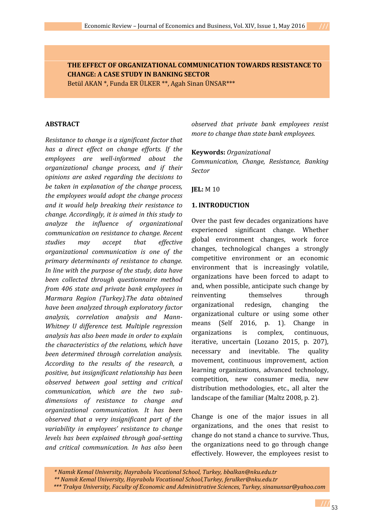**THE EFFECT OF ORGANIZATIONAL COMMUNICATION TOWARDS RESISTANCE TO CHANGE: A CASE STUDY IN BANKING SECTOR**

Betül AKAN \*, Funda ER ÜLKER \*\*, Agah Sinan ÜNSAR\*\*\*

### **ABSTRACT**

*Resistance to change is a significant factor that has a direct effect on change efforts. If the employees are well-informed about the organizational change process, and if their opinions are asked regarding the decisions to be taken in explanation of the change process, the employees would adopt the change process and it would help breaking their resistance to change. Accordingly, it is aimed in this study to analyze the influence of organizational communication on resistance to change. Recent studies may accept that effective organizational communication is one of the primary determinants of resistance to change. In line with the purpose of the study, data have been collected through questionnaire method from 406 state and private bank employees in Marmara Region (Turkey).The data obtained have been analyzed through exploratory factor analysis, correlation analysis and Mann- Whitney U difference test. Multiple regression analysis has also been made in order to explain the characteristics of the relations, which have been determined through correlation analysis. According to the results of the research, a positive, but insignificant relationship has been observed between goal setting and critical communication, which are the two sub dimensions of resistance to change and organizational communication. It has been observed that a very insignificant part of the variability in employees' resistance to change levels has been explained through goal-setting and critical communication. In has also been*

*observed that private bank employees resist more to change than state bank employees.*

#### **Keywords:** *Organizational*

*Communication, Change, Resistance, Banking Sector*

# **JEL:** M 10

# **1. INTRODUCTION**

Over the past few decades organizations have experienced significant change. Whether global environment changes, work force changes, technological changes a strongly competitive environment or an economic environment that is increasingly volatile, organizations have been forced to adapt to and, when possible, anticipate such change by reinventing themselves through organizational redesign, changing the organizational culture or using some other means (Self 2016, p. 1). Change in organizations is complex, continuous, iterative, uncertain (Lozano 2015, p. 207), necessary and inevitable. The quality movement, continuous improvement, action learning organizations, advanced technology, competition, new consumer media, new distribution methodologies, etc., all alter the landscape of the familiar (Maltz 2008, p. 2).

Change is one of the major issues in all organizations, and the ones that resist to change do not stand a chance to survive. Thus, the organizations need to go through change effectively. However, the employees resist to

*<sup>\*</sup> Namık Kemal University, Hayrabolu Vocational School, Turkey, bbalkan@nku.edu.tr*

*<sup>\*\*</sup> Namık Kemal University, Hayrabolu Vocational School,Turkey, ferulker@nku.edu.tr*

*<sup>\*\*\*</sup> Trakya University, Faculty of Economic and Administrative Sciences, Turkey, sinanunsar@yahoo.com*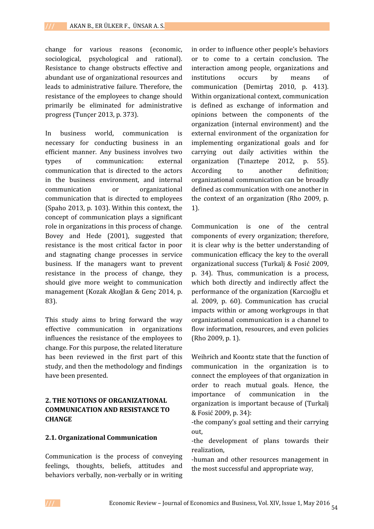change for various reasons (economic, sociological, psychological and rational). Resistance to change obstructs effective and abundant use of organizational resources and leads to administrative failure. Therefore, the resistance of the employees to change should primarily be eliminated for administrative progress (Tunçer 2013, p. 373).

In business world, communication is necessary for conducting business in an efficient manner. Any business involves two types of communication: external communication that is directed to the actors in the business environment, and internal communication or organizational communication that is directed to employees (Spaho 2013, p. 103). Within this context, the concept of communication plays a significant role in organizations in this process of change. Bovey and Hede (2001), suggested that resistance is the most critical factor in poor and stagnating change processes in service business. If the managers want to prevent resistance in the process of change, they should give more weight to communication management (Kozak Akoğlan & Genç 2014, p. 83).

This study aims to bring forward the way effective communication in organizations influences the resistance of the employees to change. For this purpose, the related literature has been reviewed in the first part of this study, and then the methodology and findings have been presented.

# **2. THE NOTIONS OF ORGANIZATIONAL COMMUNICATION AND RESISTANCE TO CHANGE**

### **2.1. Organizational Communication**

Communication is the process of conveying feelings, thoughts, beliefs, attitudes and behaviors verbally, non-verbally or in writing

in order to influence other people's behaviors or to come to a certain conclusion. The interaction among people, organizations and institutions occurs by means of communication (Demirtaş 2010, p. 413). Within organizational context, communication is defined as exchange of information and opinions between the components of the organization (internal environment) and the external environment of the organization for implementing organizational goals and for carrying out daily activities within the organization (Tınaztepe 2012, p. 55). to another definition; organizational communication can be broadly defined as communication with one another in the context of an organization (Rho 2009, p. 1).

Communication is one of the central components of every organization; therefore, it is clear why is the better understanding of communication efficacy the key to the overall organizational success (Turkalj & Fosić 2009, p. 34). Thus, communication is a process, which both directly and indirectly affect the performance of the organization (Karcıoğlu et al. 2009, p. 60). Communication has crucial impacts within or among workgroups in that organizational communication is a channel to flow information, resources, and even policies (Rho 2009, p. 1).

Weihrich and Koontz state that the function of communication in the organization is to connect the employees of that organization in order to reach mutual goals. Hence, the importance of communication in the organization is important because of (Turkalj & Fosić 2009, p. 34):

-the company's goal setting and their carrying out,

-the development of plans towards their realization,

-human and other resources management in the most successful and appropriate way,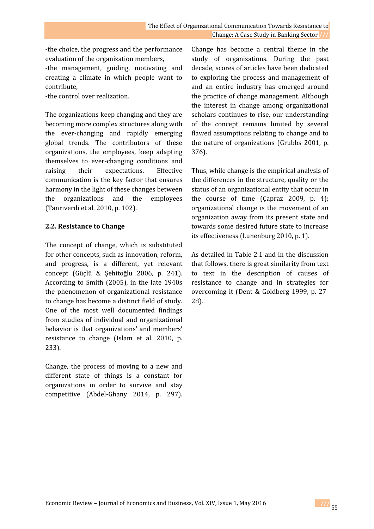-the choice, the progress and the performance evaluation of the organization members,

-the management, guiding, motivating and creating a climate in which people want to contribute,

-the control over realization.

The organizations keep changing and they are becoming more complex structures along with the ever-changing and rapidly emerging global trends. The contributors of these organizations, the employees, keep adapting themselves to ever-changing conditions and raising their expectations. Effective communication is the key factor that ensures harmony in the light of these changes between the organizations and the employees (Tanrıverdi et al. 2010, p. 102).

# **2.2. Resistance to Change**

The concept of change, which is substituted for other concepts, such as innovation, reform, and progress, is a different, yet relevant concept (Güçlü & Şehitoğlu 2006, p. 241). According to Smith (2005), in the late 1940s the phenomenon of organizational resistance to change has become a distinct field of study. One of the most well documented findings from studies of individual and organizational behavior is that organizations' and members' resistance to change (Islam et al. 2010, p. 233).

Change, the process of moving to a new and different state of things is a constant for organizations in order to survive and stay competitive (Abdel-Ghany 2014, p. 297).

Change has become a central theme in the study of organizations. During the past decade, scores of articles have been dedicated to exploring the process and management of and an entire industry has emerged around the practice of change management. Although the interest in change among organizational scholars continues to rise, our understanding of the concept remains limited by several flawed assumptions relating to change and to the nature of organizations (Grubbs 2001, p. 376).

Thus, while change is the empirical analysis of the differences in the structure, quality or the status of an organizational entity that occur in the course of time (Çapraz 2009, p. 4); organizational change is the movement of an organization away from its present state and towards some desired future state to increase its effectiveness (Lunenburg 2010, p. 1).

As detailed in Table 2.1 and in the discussion that follows, there is great similarity from text to text in the description of causes of resistance to change and in strategies for overcoming it (Dent & Goldberg 1999, p. 27- 28).

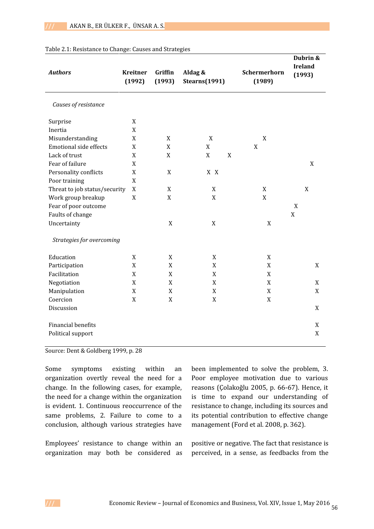| <b>Authors</b>                | Aldag &<br><b>Kreitner</b><br>Griffin<br>(1992)<br><b>Stearns</b> (1991)<br>(1993) |                  | Schermerhorn<br>(1989)     | Dubrin &<br><b>Ireland</b><br>(1993) |             |
|-------------------------------|------------------------------------------------------------------------------------|------------------|----------------------------|--------------------------------------|-------------|
| Causes of resistance          |                                                                                    |                  |                            |                                      |             |
| Surprise                      | X                                                                                  |                  |                            |                                      |             |
| Inertia                       | X                                                                                  |                  |                            |                                      |             |
| Misunderstanding              | $\mathbf X$                                                                        | $\mathbf X$      | $\mathbf X$                | $\mathbf X$                          |             |
| <b>Emotional side effects</b> | X                                                                                  | $\mathbf X$      | $\mathbf X$                | $\mathbf X$                          |             |
| Lack of trust                 | X                                                                                  | $\mathbf X$      | $\mathbf X$<br>$\mathbf X$ |                                      |             |
| Fear of failure               | X                                                                                  |                  |                            |                                      | X           |
| Personality conflicts         | X                                                                                  | X                | X X                        |                                      |             |
| Poor training                 | X                                                                                  |                  |                            |                                      |             |
| Threat to job status/security | $\mathbf X$                                                                        | $\mathbf X$      | $\mathbf X$                | $\mathbf X$                          | $\mathbf X$ |
| Work group breakup            | X                                                                                  | $\mathbf X$      | $\mathbf X$                | $\mathbf X$                          |             |
| Fear of poor outcome          |                                                                                    |                  |                            |                                      | $\mathbf X$ |
| Faults of change              |                                                                                    |                  |                            |                                      | $\mathbf X$ |
| Uncertainty                   |                                                                                    | $\mathbf X$      | $\mathbf X$                | $\mathbf X$                          |             |
| Strategies for overcoming     |                                                                                    |                  |                            |                                      |             |
| Education                     | X                                                                                  | $\mathbf X$      | X                          | X                                    |             |
| Participation                 | X                                                                                  | $\boldsymbol{X}$ | X                          | $\boldsymbol{\mathrm{X}}$            | X           |
| Facilitation                  | X                                                                                  | $\mathbf X$      | $\mathbf X$                | $\mathbf X$                          |             |
| Negotiation                   | X                                                                                  | $\mathbf X$      | $\mathbf X$                | $\mathbf X$                          | X           |
| Manipulation                  | X                                                                                  | $\mathbf X$      | $\mathbf X$                | $\mathbf X$                          | $\mathbf X$ |
| Coercion                      | $\mathbf X$                                                                        | $\mathbf X$      | $\mathbf X$                | $\mathbf X$                          |             |
| Discussion                    |                                                                                    |                  |                            |                                      | $\mathbf X$ |
| Financial benefits            |                                                                                    |                  |                            |                                      | X           |
| Political support             |                                                                                    |                  |                            |                                      | X           |

#### Table 2.1: Resistance to Change: Causes and Strategies

Source: Dent & Goldberg 1999, p. 28

Some symptoms existing within an organization overtly reveal the need for a change. In the following cases, for example, the need for a change within the organization is evident. 1. Continuous reoccurrence of the same problems, 2. Failure to come to a conclusion, although various strategies have

Employees' resistance to change within an organization may both be considered as

been implemented to solve the problem, 3. Poor employee motivation due to various reasons (Çolakoğlu 2005, p. 66-67). Hence, it is time to expand our understanding of resistance to change, including its sources and its potential contribution to effective change management (Ford et al. 2008, p. 362).

positive or negative. The fact that resistance is perceived, in a sense, as feedbacks from the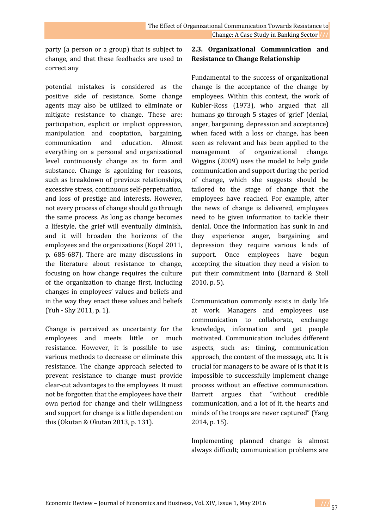party (a person or a group) that is subject to change, and that these feedbacks are used to correct any

potential mistakes is considered as the positive side of resistance. Some change agents may also be utilized to eliminate or mitigate resistance to change. These are: participation, explicit or implicit oppression, manipulation and cooptation, bargaining, communication and education. Almost everything on a personal and organizational level continuously change as to form and substance. Change is agonizing for reasons, such as breakdown of previous relationships, excessive stress, continuous self-perpetuation, and loss of prestige and interests. However, not every process of change should go through the same process. As long as change becomes a lifestyle, the grief will eventually diminish, and it will broaden the horizons of the employees and the organizations (Koçel 2011, p. 685-687). There are many discussions in the literature about resistance to change, focusing on how change requires the culture of the organization to change first, including changes in employees' values and beliefs and in the way they enact these values and beliefs (Yuh - Shy 2011, p. 1).

Change is perceived as uncertainty for the employees and meets little or much resistance. However, it is possible to use various methods to decrease or eliminate this resistance. The change approach selected to prevent resistance to change must provide clear-cut advantages to the employees. It must not be forgotten that the employees have their own period for change and their willingness and support for change is a little dependent on this (Okutan & Okutan 2013, p. 131).

# **2.3. Organizational Communication and Resistance to Change Relationship**

Fundamental to the success of organizational change is the acceptance of the change by employees. Within this context, the work of Kubler-Ross (1973), who argued that all humans go through 5 stages of 'grief' (denial, anger, bargaining, depression and acceptance) when faced with a loss or change, has been seen as relevant and has been applied to the management of organizational change. Wiggins (2009) uses the model to help guide communication and support during the period of change, which she suggests should be tailored to the stage of change that the employees have reached. For example, after the news of change is delivered, employees need to be given information to tackle their denial. Once the information has sunk in and they experience anger, bargaining and depression they require various kinds of support. Once employees have begun accepting the situation they need a vision to put their commitment into (Barnard & Stoll 2010, p. 5).

Communication commonly exists in daily life at work. Managers and employees use communication to collaborate, exchange knowledge, information and get people motivated. Communication includes different aspects, such as: timing, communication approach, the content of the message, etc. It is crucial for managers to be aware of is that it is impossible to successfully implement change process without an effective communication. argues that "without credible communication, and a lot of it, the hearts and minds of the troops are never captured" (Yang 2014, p. 15).

Implementing planned change is almost always difficult; communication problems are

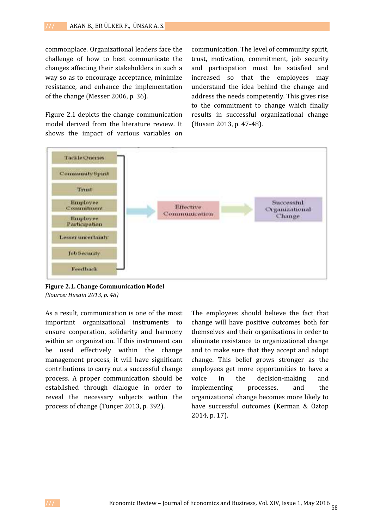commonplace. Organizational leaders face the challenge of how to best communicate the changes affecting their stakeholders in such a way so as to encourage acceptance, minimize resistance, and enhance the implementation of the change (Messer 2006, p. 36).

Figure 2.1 depicts the change communication model derived from the literature review. It shows the impact of various variables on

communication. The level of community spirit, trust, motivation, commitment, job security and participation must be satisfied and increased so that the employees may understand the idea behind the change and address the needs competently. This gives rise to the commitment to change which finally results in successful organizational change (Husain 2013, p. 47-48).



**Figure 2.1. Change Communication Model** *(Source: Husain 2013, p. 48)*

As a result, communication is one of the most important organizational instruments to ensure cooperation, solidarity and harmony within an organization. If this instrument can be used effectively within the change management process, it will have significant contributions to carry out a successful change process. A proper communication should be established through dialogue in order to reveal the necessary subjects within the process of change (Tunçer 2013, p. 392).

The employees should believe the fact that change will have positive outcomes both for themselves and their organizations in order to eliminate resistance to organizational change and to make sure that they accept and adopt change. This belief grows stronger as the employees get more opportunities to have a in the decision-making and implementing processes, and the organizational change becomes more likely to have successful outcomes (Kerman & Öztop 2014, p. 17).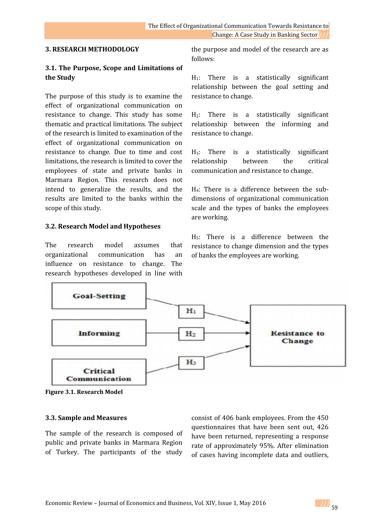### **3. RESEARCH METHODOLOGY**

# **3.1. The Purpose, Scope and Limitations of the Study**

The purpose of this study is to examine the effect of organizational communication on resistance to change. This study has some thematic and practical limitations. The subject of the research is limited to examination of the effect of organizational communication on resistance to change. Due to time and cost limitations, the research is limited to cover the employees of state and private banks in Marmara Region. This research does not intend to generalize the results, and the results are limited to the banks within the scope of this study.

# **3.2. Research Model and Hypotheses**

The research model assumes that organizational communication has an influence on resistance to change. The research hypotheses developed in line with

the purpose and model of the research are as follows:

H1: There is a statistically significant relationship between the goal setting and resistance to change.

H2: There is a statistically significant relationship between the informing and resistance to change.

H<sub>3</sub>: There is a statistically significant<br>relationship between the critical relationship between the communication and resistance to change.

H4: There is a difference between the sub dimensions of organizational communication scale and the types of banks the employees are working.

H5: There is a difference between the resistance to change dimension and the types of banks the employees are working.



**Figure 3.1. Research Model**

### **3.3. Sample and Measures**

The sample of the research is composed of public and private banks in Marmara Region of Turkey. The participants of the study

consist of 406 bank employees. From the 450 questionnaires that have been sent out, 426 have been returned, representing a response rate of approximately 95%. After elimination of cases having incomplete data and outliers,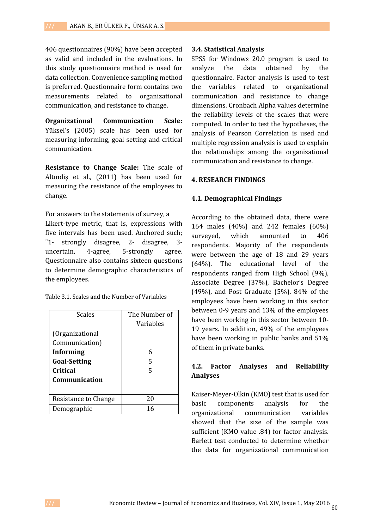406 questionnaires (90%) have been accepted as valid and included in the evaluations. In this study questionnaire method is used for data collection. Convenience sampling method is preferred. Questionnaire form contains two measurements related to organizational communication, and resistance to change.

**Organizational Communication Scale:** Yüksel's (2005) scale has been used for measuring informing, goal setting and critical communication.

**Resistance to Change Scale:** The scale of Altındiş et al., (2011) has been used for measuring the resistance of the employees to change.

For answers to the statements of survey, a Likert-type metric, that is, expressions with five intervals has been used. Anchored such; "1- strongly disagree, 2- disagree, 3 uncertain, 4-agree, 5-strongly agree. Questionnaire also contains sixteen questions to determine demographic characteristics of the employees.

| Table 3.1. Scales and the Number of Variables |  |
|-----------------------------------------------|--|
|-----------------------------------------------|--|

| <b>Scales</b>        | The Number of |
|----------------------|---------------|
|                      | Variables     |
| (Organizational      |               |
| Communication)       |               |
| <b>Informing</b>     | 6             |
| <b>Goal-Setting</b>  | 5             |
| <b>Critical</b>      | 5             |
| Communication        |               |
|                      |               |
| Resistance to Change | 20            |
| Demographic          | 16            |

### **3.4. Statistical Analysis**

SPSS for Windows 20.0 program is used to the data obtained by the questionnaire. Factor analysis is used to test the variables related to organizational communication and resistance to change dimensions. Cronbach Alpha values determine the reliability levels of the scales that were computed. In order to test the hypotheses, the analysis of Pearson Correlation is used and multiple regression analysis is used to explain the relationships among the organizational communication and resistance to change.

# **4. RESEARCH FINDINGS**

# **4.1. Demographical Findings**

According to the obtained data, there were 164 males (40%) and 242 females (60%) which amounted to 406 respondents. Majority of the respondents were between the age of 18 and 29 years (64%). The educational level of the respondents ranged from High School (9%), Associate Degree (37%), Bachelor's Degree (49%), and Post Graduate (5%). 84% of the employees have been working in this sector between 0-9 years and 13% of the employees have been working in this sector between 10- 19 years. In addition, 49% of the employees have been working in public banks and 51% of them in private banks.

# **4.2. Factor Analyses and Reliability Analyses**

Kaiser-Meyer-Olkin (KMO) test that is used for basic components analysis for the organizational communication variables showed that the size of the sample was sufficient (KMO value .84) for factor analysis. Barlett test conducted to determine whether the data for organizational communication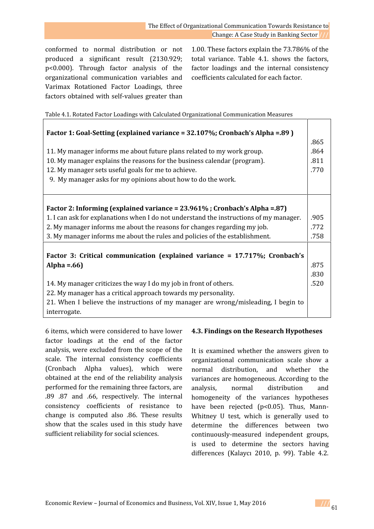conformed to normal distribution or not produced a significant result (2130.929; p<0.000). Through factor analysis of the organizational communication variables and Varimax Rotationed Factor Loadings, three factors obtained with self-values greater than

1.00. These factors explain the 73.786% of the total variance. Table 4.1. shows the factors, factor loadings and the internal consistency coefficients calculated for each factor.

Table 4.1. Rotated Factor Loadings with Calculated Organizational Communication Measures

| Factor 1: Goal-Setting (explained variance = 32.107%; Cronbach's Alpha = 89)                       |      |
|----------------------------------------------------------------------------------------------------|------|
|                                                                                                    | .865 |
| 11. My manager informs me about future plans related to my work group.                             | .864 |
| 10. My manager explains the reasons for the business calendar (program).                           | .811 |
| 12. My manager sets useful goals for me to achieve.                                                | .770 |
| 9. My manager asks for my opinions about how to do the work.                                       |      |
| Factor 2: Informing (explained variance = 23.961%; Cronbach's Alpha = .87)                         |      |
| 1. I can ask for explanations when I do not understand the instructions of my manager.             | .905 |
| 2. My manager informs me about the reasons for changes regarding my job.                           | .772 |
| 3. My manager informs me about the rules and policies of the establishment.                        | .758 |
| Factor 3: Critical communication (explained variance = 17.717%; Cronbach's                         |      |
| Alpha = $.66$ )                                                                                    | .875 |
|                                                                                                    | .830 |
| 14. My manager criticizes the way I do my job in front of others.                                  | .520 |
| 22. My manager has a critical approach towards my personality.                                     |      |
| 21. When I believe the instructions of my manager are wrong/misleading, I begin to<br>interrogate. |      |

6 items, which were considered to have lower factor loadings at the end of the factor analysis, were excluded from the scope of the scale. The internal consistency coefficients (Cronbach Alpha values), which were obtained at the end of the reliability analysis performed for the remaining three factors, are .89 .87 and .66, respectively. The internal consistency coefficients of resistance to change is computed also .86. These results show that the scales used in this study have sufficient reliability for social sciences.

# **4.3. Findings on the Research Hypotheses**

It is examined whether the answers given to organizational communication scale show a normal distribution, and whether the variances are homogeneous. According to the normal distribution and homogeneity of the variances hypotheses have been rejected (p<0.05). Thus, Mann-Whitney U test, which is generally used to determine the differences between two continuously-measured independent groups, is used to determine the sectors having differences (Kalaycı 2010, p. 99). Table 4.2.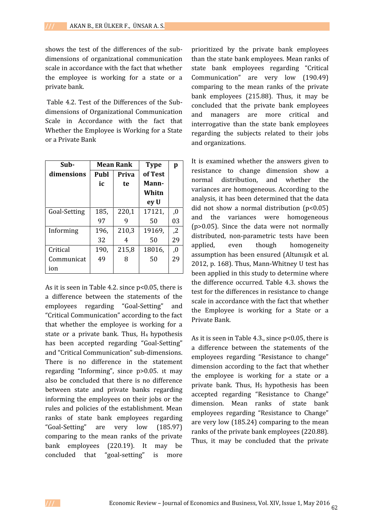shows the test of the differences of the sub dimensions of organizational communication scale in accordance with the fact that whether the employee is working for a state or a private bank.

Table 4.2. Test of the Differences of the Sub dimensions of Organizational Communication Scale in Accordance with the fact that Whether the Employee is Working for a State or a Private Bank

| Sub-         |             | <b>Mean Rank</b> | <b>Type</b> | p              |
|--------------|-------------|------------------|-------------|----------------|
| dimensions   | <b>Publ</b> | <b>Priva</b>     | of Test     |                |
|              | ic          | te               | Mann-       |                |
|              |             |                  | Whitn       |                |
|              |             |                  | ey U        |                |
| Goal-Setting | 185,        | 220,1            | 17121,      | 0,             |
|              | 97          | 9                | 50          | 03             |
| Informing    | 196,        | 210,3            | 19169.      | $\overline{2}$ |
|              | 32          | 4                | 50          | 29             |
| Critical     | 190,        | 215,8            | 18016.      | ,0             |
| Communicat   | 49          | 8                | 50          | 29             |
| ion          |             |                  |             |                |

As it is seen in Table 4.2. since p<0.05, there is a difference between the statements of the employees regarding "Goal-Setting" and "Critical Communication" according to the fact that whether the employee is working for a state or a private bank. Thus,  $H_4$  hypothesis has been accepted regarding "Goal-Setting" and "Critical Communication" sub-dimensions. There is no difference in the statement regarding "Informing", since p>0.05. ıt may also be concluded that there is no difference between state and private banks regarding informing the employees on their jobs or the rules and policies of the establishment. Mean ranks of state bank employees regarding "Goal-Setting" are very low (185.97) comparing to the mean ranks of the private bank employees (220.19). It may be concluded that "goal-setting" is more

prioritized by the private bank employees than the state bank employees. Mean ranks of state bank employees regarding "Critical Communication" are very low (190.49) comparing to the mean ranks of the private bank employees (215.88). Thus, it may be concluded that the private bank employees and managers are more critical and interrogative than the state bank employees regarding the subjects related to their jobs and organizations.

**p** It is examined whether the answers given to  $,0$   $\Big|$   $\Big|$   $\Big|$   $\Big|$  $\begin{bmatrix} 03 \\ 020 \end{bmatrix}$  $, Z$  dictri applied.  $\overline{a}$  assumption has been ensured (Altunişik et al.  $\left\{\n\begin{array}{c}\n29 \\
2012, p. 168\n\end{array}\n\right\}$ . Thus, Mann-Whitney U test has resistance to change dimension show a normal distribution, and whether the variances are homogeneous. According to the analysis, it has been determined that the data did not show a normal distribution  $(p<0.05)$ and the variances were homogeneous (p>0.05). Since the data were not normally distributed, non-parametric tests have been even though homogeneity been applied in this study to determine where the difference occurred. Table 4.3. shows the test for the differences in resistance to change scale in accordance with the fact that whether the Employee is working for a State or a Private Bank.

As it is seen in Table 4.3., since p<0.05, there is a difference between the statements of the employees regarding "Resistance to change" dimension according to the fact that whether the employee is working for a state or a private bank. Thus,  $H_5$  hypothesis has been accepted regarding "Resistance to Change" dimension. Mean ranks of state bank employees regarding "Resistance to Change" are very low (185.24) comparing to the mean ranks of the private bank employees (220.88). Thus, it may be concluded that the private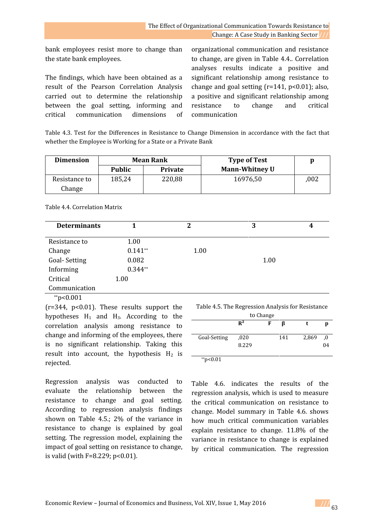bank employees resist more to change than the state bank employees.

The findings, which have been obtained as a result of the Pearson Correlation Analysis carried out to determine the relationship between the goal setting, informing and critical communication dimensions of

organizational communication and resistance to change, are given in Table 4.4.. Correlation analyses results indicate a positive and significant relationship among resistance to change and goal setting  $(r=141, p<0.01)$ ; also, a positive and significant relationship among resistance to change and critical communication

Table 4.3. Test for the Differences in Resistance to Change Dimension in accordance with the fact that whether the Employee is Working for a State or a Private Bank

| <b>Dimension</b>        | <b>Mean Rank</b> |                | <b>Type of Test</b>   |      |  |
|-------------------------|------------------|----------------|-----------------------|------|--|
|                         | <b>Public</b>    | <b>Private</b> | <b>Mann-Whitney U</b> |      |  |
| Resistance to<br>Change | 185,24           | 220,88         | 16976,50              | .002 |  |

| <b>Determinants</b> |           | 2    | 3    | 4 |
|---------------------|-----------|------|------|---|
| Resistance to       | 1.00      |      |      |   |
| Change              | $0.141**$ | 1.00 |      |   |
| Goal-Setting        | 0.082     |      | 1.00 |   |
| Informing           | $0.344**$ |      |      |   |
| Critical            | 1.00      |      |      |   |
| Communication       |           |      |      |   |

Table 4.4. Correlation Matrix

 $*$ p<0.001

 $(r=344, p<0.01)$ . These results support the hypotheses  $H_1$  and  $H_3$ . According to the correlation analysis among resistance to change and informing of the employees, there is no significant relationship. Taking this result into account, the hypothesis  $H_2$  is rejected.

Regression analysis was conducted to evaluate the relationship between the resistance to change and goal setting. According to regression analysis findings shown on Table 4.5.; 2% of the variance in resistance to change is explained by goal setting. The regression model, explaining the impact of goal setting on resistance to change, is valid (with  $F=8.229$ ;  $p<0.01$ ).

| Table 4.5. The Regression Analysis for Resistance |  |
|---------------------------------------------------|--|
| to Change                                         |  |

|              | $R^2$ | F | ĸ   |       |    |
|--------------|-------|---|-----|-------|----|
| Goal-Setting | ,020  |   | 141 | 2,869 | .0 |
|              | 8.229 |   |     |       | 04 |
|              |       |   |     |       |    |

 $*$ p<0.01

Table 4.6. indicates the results of the regression analysis, which is used to measure the critical communication on resistance to change. Model summary in Table 4.6. shows how much critical communication variables explain resistance to change. 11.8% of the variance in resistance to change is explained by critical communication. The regression

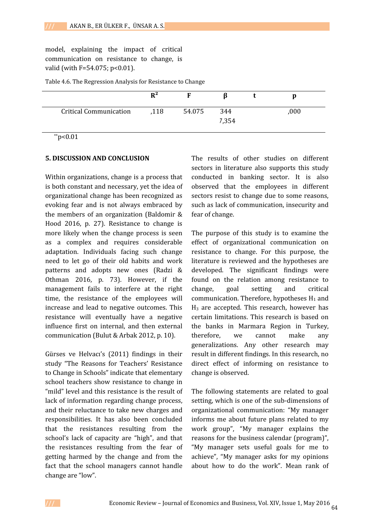model, explaining the impact of critical communication on resistance to change, is valid (with  $F=54.075$ ; p<0.01).

Table 4.6. The Regression Analysis for Resistance to Change

| $R^2$ |        |              |      |
|-------|--------|--------------|------|
| ,118  | 54.075 | 344<br>7,354 | ,000 |
|       |        |              |      |

 $*p<0.01$ 

#### **5. DISCUSSION AND CONCLUSION**

Within organizations, change is a process that is both constant and necessary, yet the idea of organizational change has been recognized as evoking fear and is not always embraced by the members of an organization (Baldomir & Hood 2016, p. 27). Resistance to change is more likely when the change process is seen as a complex and requires considerable adaptation. Individuals facing such change need to let go of their old habits and work patterns and adopts new ones (Radzi & Othman 2016, p. 73). However, if the management fails to interfere at the right change, time, the resistance of the employees will increase and lead to negative outcomes. This resistance will eventually have a negative influence first on internal, and then external communication (Bulut & Arbak 2012, p. 10).

Gürses ve Helvacı's (2011) findings in their study "The Reasons for Teachers' Resistance to Change in Schools" indicate that elementary school teachers show resistance to change in "mild" level and this resistance is the result of lack of information regarding change process, and their reluctance to take new charges and responsibilities. It has also been concluded that the resistances resulting from the school's lack of capacity are "high", and that the resistances resulting from the fear of getting harmed by the change and from the fact that the school managers cannot handle change are "low".

The results of other studies on different sectors in literature also supports this study conducted in banking sector. It is also observed that the employees in different sectors resist to change due to some reasons, such as lack of communication, insecurity and fear of change.

The purpose of this study is to examine the effect of organizational communication on resistance to change. For this purpose, the literature is reviewed and the hypotheses are developed. The significant findings were found on the relation among resistance to change, goal setting and critical communication. Therefore, hypotheses  $H_1$  and  $H_3$  are accepted. This research, however has certain limitations. This research is based on the banks in Marmara Region in Turkey, therefore, we cannot make any generalizations. Any other research may result in different findings. In this research, no direct effect of informing on resistance to change is observed.

The following statements are related to goal setting, which is one of the sub-dimensions of organizational communication: "My manager informs me about future plans related to my work group", "My manager explains the reasons for the business calendar (program)", "My manager sets useful goals for me to achieve", "My manager asks for my opinions about how to do the work". Mean rank of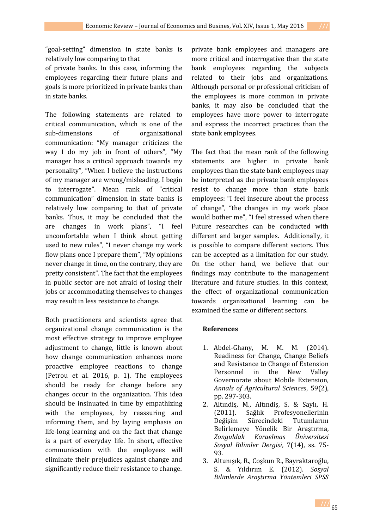"goal-setting" dimension in state banks is relatively low comparing to that

of private banks. In this case, informing the employees regarding their future plans and goals is more prioritized in private banks than in state banks.

The following statements are related to critical communication, which is one of the sub-dimensions of organizational communication: "My manager criticizes the way I do my job in front of others", "My manager has a critical approach towards my personality", "When I believe the instructions of my manager are wrong/misleading, I begin to interrogate". Mean rank of "critical communication" dimension in state banks is relatively low comparing to that of private banks. Thus, it may be concluded that the are changes in work plans", "I feel uncomfortable when I think about getting used to new rules", "I never change my work flow plans once I prepare them", "My opinions never change in time, on the contrary, they are pretty consistent". The fact that the employees in public sector are not afraid of losing their jobs or accommodating themselves to changes may result in less resistance to change.

Both practitioners and scientists agree that organizational change communication is the most effective strategy to improve employee adjustment to change, little is known about how change communication enhances more proactive employee reactions to change (Petrou et al. 2016, p. 1). The employees should be ready for change before any changes occur in the organization. This idea should be insinuated in time by empathizing with the employees, by reassuring and informing them, and by laying emphasis on life-long learning and on the fact that change is a part of everyday life. In short, effective communication with the employees will eliminate their prejudices against change and significantly reduce their resistance to change.

private bank employees and managers are more critical and interrogative than the state bank employees regarding the subjects related to their jobs and organizations. Although personal or professional criticism of the employees is more common in private banks, it may also be concluded that the employees have more power to interrogate and express the incorrect practices than the state bank employees.

The fact that the mean rank of the following statements are higher in private bank employees than the state bank employees may be interpreted as the private bank employees resist to change more than state bank employees: "I feel insecure about the process of change", "the changes in my work place would bother me", "I feel stressed when there Future researches can be conducted with different and larger samples. Additionally, it is possible to compare different sectors. This can be accepted as a limitation for our study. On the other hand, we believe that our findings may contribute to the management literature and future studies. In this context, the effect of organizational communication towards organizational learning can be examined the same or different sectors.

# **References**

- 1. Abdel-Ghany, M. M. M. (2014). Readiness for Change, Change Beliefs and Resistance to Change of Extension<br>Personnel in the New Valley Personnel in the New Valley Governorate about Mobile Extension, *Annals of Agricultural Sciences*, 59(2), pp. 297-303.
- 2. Altındiş, M., Altındiş, S. & Saylı, H. (2011). Sağlık Profesyonellerinin<br>Değişim Sürecindeki Tutumlarını Sürecindeki Belirlemeye Yönelik Bir Araştırma, *Zonguldak Karaelmas Üniversitesi Sosyal Bilimler Dergisi*, 7(14), ss. 75- 93.
- 3. Altunışık, R., Coşkun R., Bayraktaroğlu,<br>S. & Yıldırım E. (2012). Sosyal S. & Yıldırım E. (2012). *Sosyal Bilimlerde Araştırma Yöntemleri SPSS*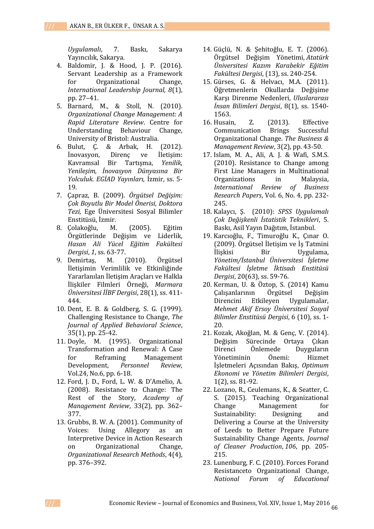*Uygulamalı*, 7. Baskı, Sakarya Yayıncılık, Sakarya.

- 4. Baldomir, J. & Hood, J. P. (2016). Servant Leadership as a Framework<br>for Organizational Change. Organizational *International Leadership Journal, 8*(1), pp. 27–41.
- 5. Barnard, M., & Stoll, N. (2010). *Organizational Change Management: A Rapid Literature Review*. Centre for Understanding Behaviour University of Bristol: Australia.<br>Bulut, C. & Arbak, H. (2012).
- 6. Bulut, Ç. & Arbak, H. (2012). İnovasyon, Direnç ve İletişim: Kavramsal Bir *Yenileşim, İnovasyon Dünyasına Bir Yolculuk. EGİAD Yayınları,* İzmir, ss. 5- 19.
- 7. Çapraz, B. (2009). *Örgütsel Değişim: Çok Boyutlu Bir Model Önerisi, Doktora Tezi,* Ege Üniversitesi Sosyal Bilimler Enstitüsü, İzmir.
- 8. Çolakoğlu, M. (2005). Eğitim Örgütlerinde Değişim ve Liderlik, *Hasan Ali Yücel Eğitim Fakültesi Dergisi, 1, ss. 63-77.*<br>Demirtas. M. (2010).
- 9. Demirtaş, M. (2010). Örgütsel İletişimin Verimlilik ve Etkinliğinde Yararlanılan İletişim Araçları ve Halkla İlişkiler Filmleri Örneği, *Marmara Üniversitesi İİBF Dergisi*, 28(1), ss. 411- 444.
- 10. Dent, E. B. & Goldberg, S. G. (1999). Challenging Resistance to Change, *The Journal of Applied Behavioral Science*, 35(1), pp. 25-42.
- 11. Doyle, M. (1995). Organizational Transformation and Renewal: A Case<br>for Reframing Management ng Management<br>*Personnel Review.* Development, *Personnel Review,* Vol.24, No.6, pp. 6-18.
- 12. Ford, J. D., Ford, L. W. & D'Amelio, A. (2008). Resistance to Change: The Rest of the Story, *Academy of Management Review*, 33(2), pp. 362– 377.
- 13. Grubbs, B. W. A. (2001). Community of<br>Voices: Using Allegory as an Allegory Interpretive Device in Action Research<br>on Organizational Change. Organizational Research Methods, 4(4), pp. 376–392.
- 14. Güçlü, N. & Şehitoğlu, E. T. (2006). Örgütsel Değişim Yönetimi, *Atatürk Üniversitesi Kazım Karabekir Eğitim Fakültesi Dergisi*, (13), ss. 240-254.
- 15. Gürses, G. & Helvacı, M.A. (2011). Öğretmenlerin Okullarda Değişime Karşı Direnme Nedenleri, *Uluslararası İnsan Bilimleri Dergisi*, 8(1), ss. 1540- 1563.
- 16. Husain, Z. (2013). Effective<br>Communication Brings Successful Communication Organizational Change. *The Business & Management Review*, 3(2), pp. 43-50.
- 17. Islam, M. A., Ali, A. J. & Wafi, S.M.S. (2010). Resistance to Change among First Line Managers in Multinational<br>Organizations in Malaysia, International Review of Business *Research Papers*, Vol. 6, No. 4, pp. 232- 245.
- 18. Kalaycı, Ş. (2010): *SPSS Uygulamalı Çok Değişkenli İstatistik Teknikleri*, 5. Baskı, Asil Yayın Dağıtım, İstanbul.
- 19. Karcıoğlu, F., Timuroğlu K., Çınar O. (2009). Örgütsel İletişim ve İş Tatmini İlişkisi Bir Uygulama, *Yönetim/İstanbul Üniversitesi İşletme Fakültesi İşletme İktisadı Enstitüsü Dergisi*, 20(63), ss. 59-76.
- 20. Kerman, U. & Öztop, S. (2014) Kamu Çalışanlarının Örgü<br>Direncini Etkileven Uygulamalar, *Mehmet Akif Ersoy Üniversitesi Sosyal Bilimler Enstitüsü Dergisi*, 6 (10), ss. 1- 20.
- 21. Kozak, Akoğlan, M. & Genç, V. (2014). Değişim Sürecinde Ortaya Çıkan nede Duyguların<br>Önemi: Hizmet Yönetiminin Önemi: Hizmet İşletmeleri Açısından Bakış, *Optimum Ekonomi ve Yönetim Bilimleri Dergisi*, 1(2), ss. 81-92.
- 22. Lozano, R., Ceulemans, K., & Seatter, C. S. (2015). Teaching Organizational<br>Change Management for Management for<br>Designing and Sustainability: Delivering a Course at the University of Leeds to Better Prepare Future Sustainability Change Agents, *Journal of Cleaner Production*, *106*, pp. 205- 215.
- 23. Lunenburg, F. C. (2010). Forces Forand Resistanceto Organizational Change, *National Forum of Educational*